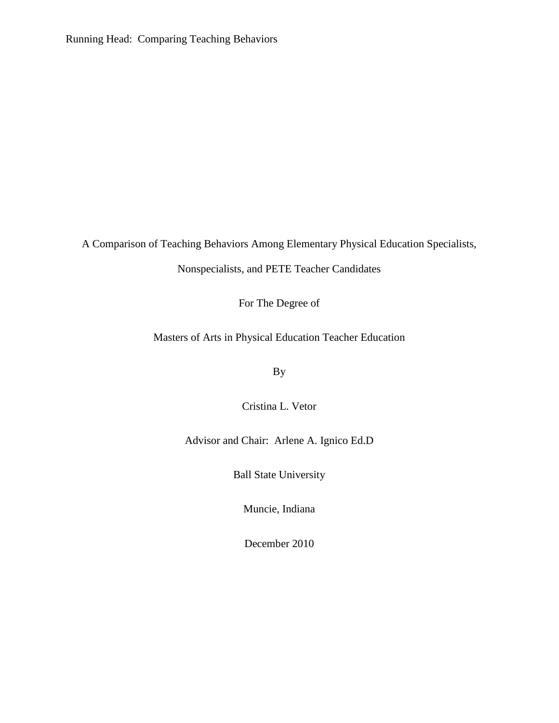Running Head: Comparing Teaching Behaviors

A Comparison of Teaching Behaviors Among Elementary Physical Education Specialists,

Nonspecialists, and PETE Teacher Candidates

For The Degree of

Masters of Arts in Physical Education Teacher Education

By

Cristina L. Vetor

Advisor and Chair: Arlene A. Ignico Ed.D

Ball State University

Muncie, Indiana

December 2010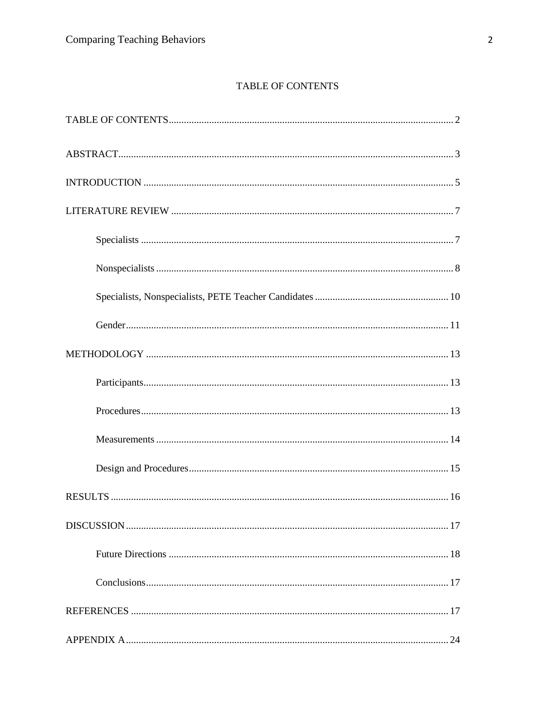# TABLE OF CONTENTS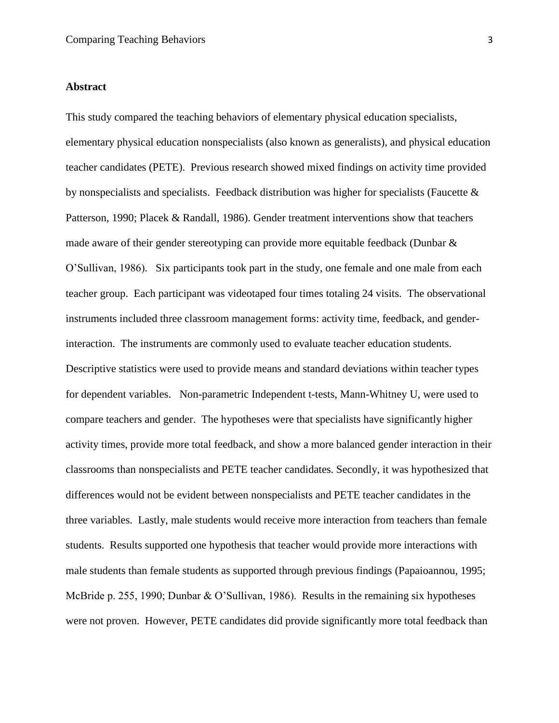#### **Abstract**

This study compared the teaching behaviors of elementary physical education specialists, elementary physical education nonspecialists (also known as generalists), and physical education teacher candidates (PETE). Previous research showed mixed findings on activity time provided by nonspecialists and specialists. Feedback distribution was higher for specialists (Faucette & Patterson, 1990; Placek & Randall, 1986). Gender treatment interventions show that teachers made aware of their gender stereotyping can provide more equitable feedback (Dunbar & O'Sullivan, 1986). Six participants took part in the study, one female and one male from each teacher group. Each participant was videotaped four times totaling 24 visits. The observational instruments included three classroom management forms: activity time, feedback, and genderinteraction. The instruments are commonly used to evaluate teacher education students. Descriptive statistics were used to provide means and standard deviations within teacher types for dependent variables. Non-parametric Independent t-tests, Mann-Whitney U, were used to compare teachers and gender. The hypotheses were that specialists have significantly higher activity times, provide more total feedback, and show a more balanced gender interaction in their classrooms than nonspecialists and PETE teacher candidates. Secondly, it was hypothesized that differences would not be evident between nonspecialists and PETE teacher candidates in the three variables. Lastly, male students would receive more interaction from teachers than female students. Results supported one hypothesis that teacher would provide more interactions with male students than female students as supported through previous findings (Papaioannou, 1995; McBride p. 255, 1990; Dunbar & O'Sullivan, 1986). Results in the remaining six hypotheses were not proven. However, PETE candidates did provide significantly more total feedback than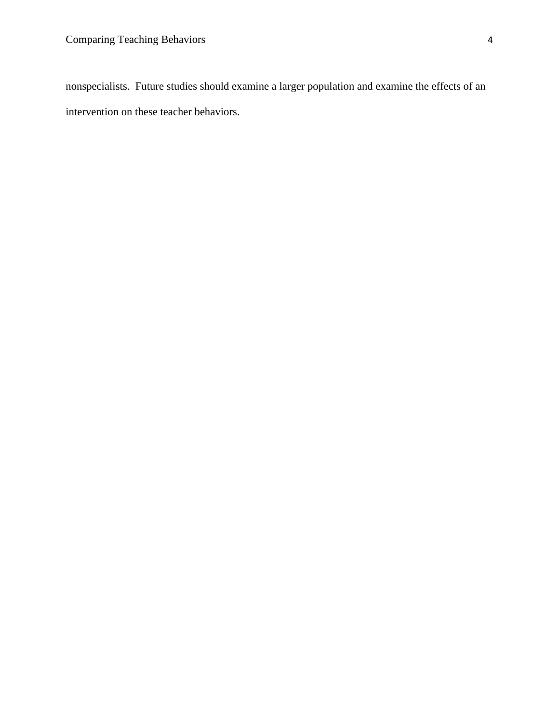nonspecialists. Future studies should examine a larger population and examine the effects of an intervention on these teacher behaviors.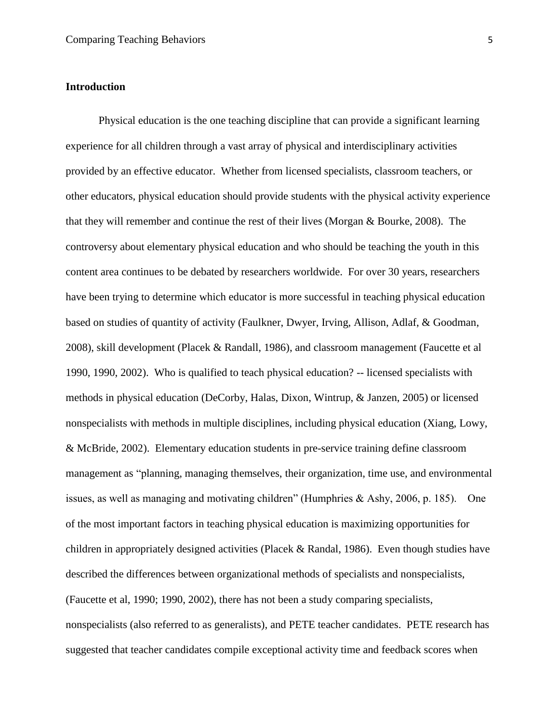#### **Introduction**

Physical education is the one teaching discipline that can provide a significant learning experience for all children through a vast array of physical and interdisciplinary activities provided by an effective educator. Whether from licensed specialists, classroom teachers, or other educators, physical education should provide students with the physical activity experience that they will remember and continue the rest of their lives (Morgan & Bourke, 2008). The controversy about elementary physical education and who should be teaching the youth in this content area continues to be debated by researchers worldwide. For over 30 years, researchers have been trying to determine which educator is more successful in teaching physical education based on studies of quantity of activity (Faulkner, Dwyer, Irving, Allison, Adlaf, & Goodman, 2008), skill development (Placek & Randall, 1986), and classroom management (Faucette et al 1990, 1990, 2002). Who is qualified to teach physical education? -- licensed specialists with methods in physical education (DeCorby, Halas, Dixon, Wintrup, & Janzen, 2005) or licensed nonspecialists with methods in multiple disciplines, including physical education (Xiang, Lowy, & McBride, 2002). Elementary education students in pre-service training define classroom management as "planning, managing themselves, their organization, time use, and environmental issues, as well as managing and motivating children" (Humphries & Ashy, 2006, p. 185). One of the most important factors in teaching physical education is maximizing opportunities for children in appropriately designed activities (Placek & Randal, 1986). Even though studies have described the differences between organizational methods of specialists and nonspecialists, (Faucette et al, 1990; 1990, 2002), there has not been a study comparing specialists, nonspecialists (also referred to as generalists), and PETE teacher candidates. PETE research has suggested that teacher candidates compile exceptional activity time and feedback scores when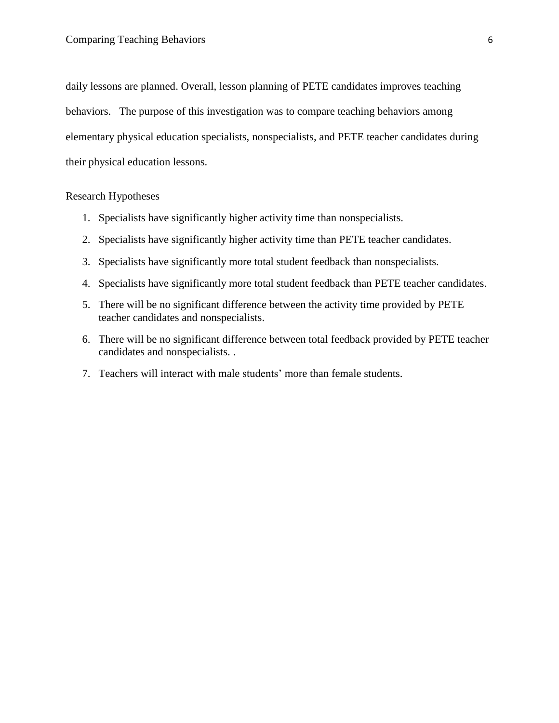daily lessons are planned. Overall, lesson planning of PETE candidates improves teaching behaviors. The purpose of this investigation was to compare teaching behaviors among elementary physical education specialists, nonspecialists, and PETE teacher candidates during their physical education lessons.

# Research Hypotheses

- 1. Specialists have significantly higher activity time than nonspecialists.
- 2. Specialists have significantly higher activity time than PETE teacher candidates.
- 3. Specialists have significantly more total student feedback than nonspecialists.
- 4. Specialists have significantly more total student feedback than PETE teacher candidates.
- 5. There will be no significant difference between the activity time provided by PETE teacher candidates and nonspecialists.
- 6. There will be no significant difference between total feedback provided by PETE teacher candidates and nonspecialists. .
- 7. Teachers will interact with male students' more than female students.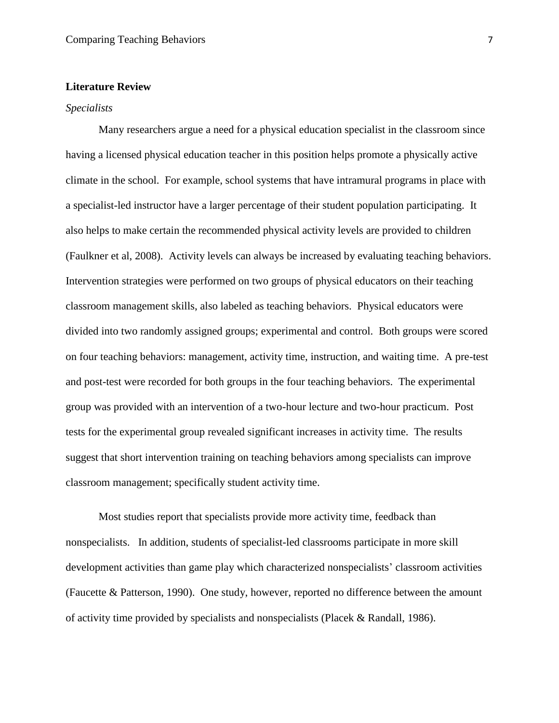# **Literature Review**

#### *Specialists*

Many researchers argue a need for a physical education specialist in the classroom since having a licensed physical education teacher in this position helps promote a physically active climate in the school. For example, school systems that have intramural programs in place with a specialist-led instructor have a larger percentage of their student population participating. It also helps to make certain the recommended physical activity levels are provided to children (Faulkner et al, 2008). Activity levels can always be increased by evaluating teaching behaviors. Intervention strategies were performed on two groups of physical educators on their teaching classroom management skills, also labeled as teaching behaviors. Physical educators were divided into two randomly assigned groups; experimental and control. Both groups were scored on four teaching behaviors: management, activity time, instruction, and waiting time. A pre-test and post-test were recorded for both groups in the four teaching behaviors. The experimental group was provided with an intervention of a two-hour lecture and two-hour practicum. Post tests for the experimental group revealed significant increases in activity time. The results suggest that short intervention training on teaching behaviors among specialists can improve classroom management; specifically student activity time.

Most studies report that specialists provide more activity time, feedback than nonspecialists. In addition, students of specialist-led classrooms participate in more skill development activities than game play which characterized nonspecialists' classroom activities (Faucette & Patterson, 1990). One study, however, reported no difference between the amount of activity time provided by specialists and nonspecialists (Placek & Randall, 1986).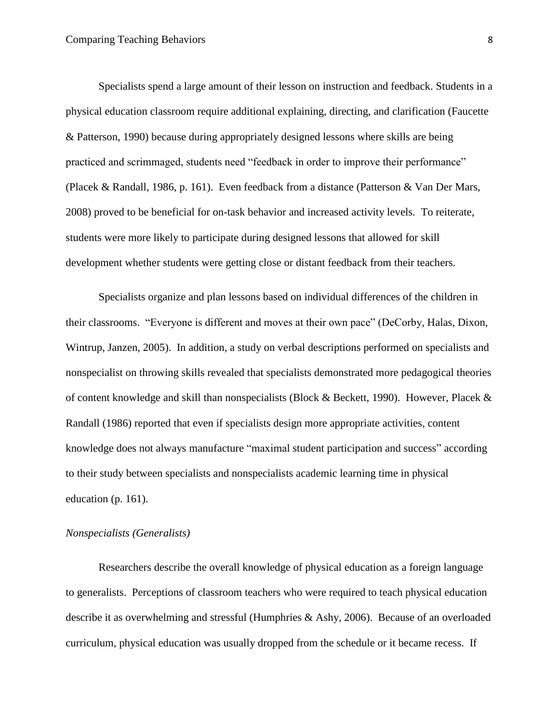Specialists spend a large amount of their lesson on instruction and feedback. Students in a physical education classroom require additional explaining, directing, and clarification (Faucette & Patterson, 1990) because during appropriately designed lessons where skills are being practiced and scrimmaged, students need "feedback in order to improve their performance" (Placek & Randall, 1986, p. 161). Even feedback from a distance (Patterson & Van Der Mars, 2008) proved to be beneficial for on-task behavior and increased activity levels. To reiterate, students were more likely to participate during designed lessons that allowed for skill development whether students were getting close or distant feedback from their teachers.

Specialists organize and plan lessons based on individual differences of the children in their classrooms. "Everyone is different and moves at their own pace" (DeCorby, Halas, Dixon, Wintrup, Janzen, 2005). In addition, a study on verbal descriptions performed on specialists and nonspecialist on throwing skills revealed that specialists demonstrated more pedagogical theories of content knowledge and skill than nonspecialists (Block & Beckett, 1990). However, Placek & Randall (1986) reported that even if specialists design more appropriate activities, content knowledge does not always manufacture "maximal student participation and success" according to their study between specialists and nonspecialists academic learning time in physical education (p. 161).

# *Nonspecialists (Generalists)*

Researchers describe the overall knowledge of physical education as a foreign language to generalists. Perceptions of classroom teachers who were required to teach physical education describe it as overwhelming and stressful (Humphries & Ashy, 2006). Because of an overloaded curriculum, physical education was usually dropped from the schedule or it became recess. If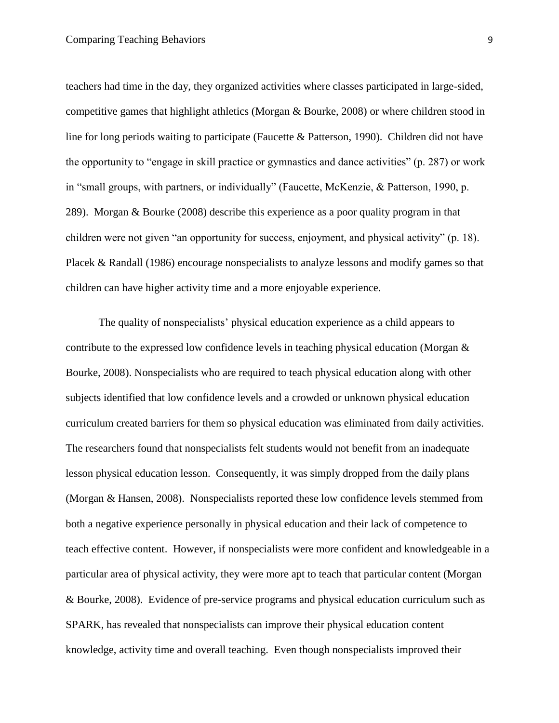teachers had time in the day, they organized activities where classes participated in large-sided, competitive games that highlight athletics (Morgan & Bourke, 2008) or where children stood in line for long periods waiting to participate (Faucette & Patterson, 1990). Children did not have the opportunity to "engage in skill practice or gymnastics and dance activities" (p. 287) or work in "small groups, with partners, or individually" (Faucette, McKenzie, & Patterson, 1990, p. 289). Morgan & Bourke (2008) describe this experience as a poor quality program in that children were not given "an opportunity for success, enjoyment, and physical activity" (p. 18). Placek & Randall (1986) encourage nonspecialists to analyze lessons and modify games so that children can have higher activity time and a more enjoyable experience.

The quality of nonspecialists' physical education experience as a child appears to contribute to the expressed low confidence levels in teaching physical education (Morgan & Bourke, 2008). Nonspecialists who are required to teach physical education along with other subjects identified that low confidence levels and a crowded or unknown physical education curriculum created barriers for them so physical education was eliminated from daily activities. The researchers found that nonspecialists felt students would not benefit from an inadequate lesson physical education lesson. Consequently, it was simply dropped from the daily plans (Morgan & Hansen, 2008). Nonspecialists reported these low confidence levels stemmed from both a negative experience personally in physical education and their lack of competence to teach effective content. However, if nonspecialists were more confident and knowledgeable in a particular area of physical activity, they were more apt to teach that particular content (Morgan & Bourke, 2008). Evidence of pre-service programs and physical education curriculum such as SPARK, has revealed that nonspecialists can improve their physical education content knowledge, activity time and overall teaching. Even though nonspecialists improved their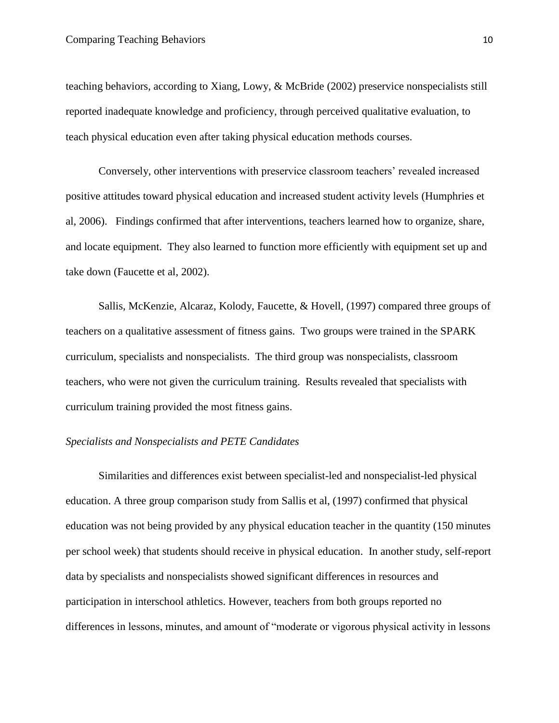teaching behaviors, according to Xiang, Lowy, & McBride (2002) preservice nonspecialists still reported inadequate knowledge and proficiency, through perceived qualitative evaluation, to teach physical education even after taking physical education methods courses.

Conversely, other interventions with preservice classroom teachers' revealed increased positive attitudes toward physical education and increased student activity levels (Humphries et al, 2006). Findings confirmed that after interventions, teachers learned how to organize, share, and locate equipment. They also learned to function more efficiently with equipment set up and take down (Faucette et al, 2002).

Sallis, McKenzie, Alcaraz, Kolody, Faucette, & Hovell, (1997) compared three groups of teachers on a qualitative assessment of fitness gains. Two groups were trained in the SPARK curriculum, specialists and nonspecialists. The third group was nonspecialists, classroom teachers, who were not given the curriculum training. Results revealed that specialists with curriculum training provided the most fitness gains.

# *Specialists and Nonspecialists and PETE Candidates*

Similarities and differences exist between specialist-led and nonspecialist-led physical education. A three group comparison study from Sallis et al, (1997) confirmed that physical education was not being provided by any physical education teacher in the quantity (150 minutes per school week) that students should receive in physical education. In another study, self-report data by specialists and nonspecialists showed significant differences in resources and participation in interschool athletics. However, teachers from both groups reported no differences in lessons, minutes, and amount of "moderate or vigorous physical activity in lessons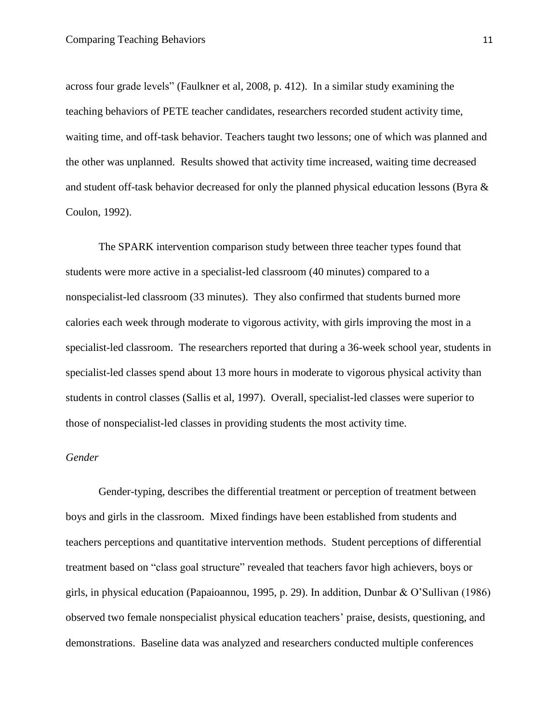across four grade levels" (Faulkner et al, 2008, p. 412). In a similar study examining the teaching behaviors of PETE teacher candidates, researchers recorded student activity time, waiting time, and off-task behavior. Teachers taught two lessons; one of which was planned and the other was unplanned. Results showed that activity time increased, waiting time decreased and student off-task behavior decreased for only the planned physical education lessons (Byra & Coulon, 1992).

The SPARK intervention comparison study between three teacher types found that students were more active in a specialist-led classroom (40 minutes) compared to a nonspecialist-led classroom (33 minutes). They also confirmed that students burned more calories each week through moderate to vigorous activity, with girls improving the most in a specialist-led classroom. The researchers reported that during a 36-week school year, students in specialist-led classes spend about 13 more hours in moderate to vigorous physical activity than students in control classes (Sallis et al, 1997). Overall, specialist-led classes were superior to those of nonspecialist-led classes in providing students the most activity time.

# *Gender*

Gender-typing, describes the differential treatment or perception of treatment between boys and girls in the classroom. Mixed findings have been established from students and teachers perceptions and quantitative intervention methods. Student perceptions of differential treatment based on "class goal structure" revealed that teachers favor high achievers, boys or girls, in physical education (Papaioannou, 1995, p. 29). In addition, Dunbar & O'Sullivan (1986) observed two female nonspecialist physical education teachers' praise, desists, questioning, and demonstrations. Baseline data was analyzed and researchers conducted multiple conferences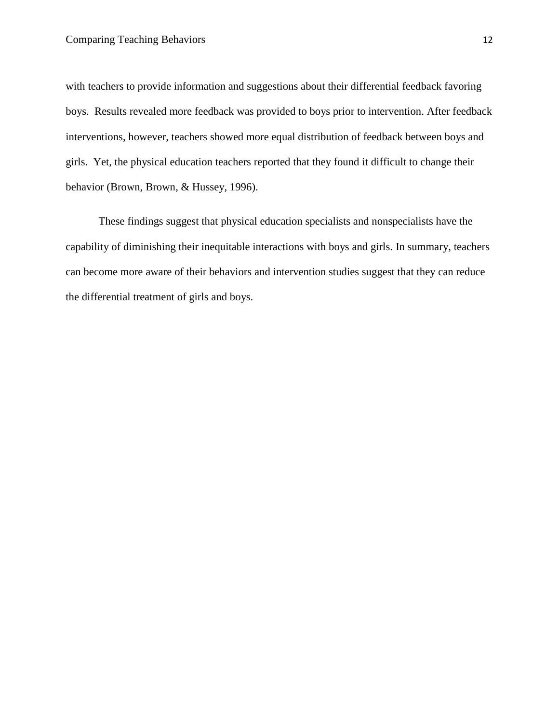with teachers to provide information and suggestions about their differential feedback favoring boys. Results revealed more feedback was provided to boys prior to intervention. After feedback interventions, however, teachers showed more equal distribution of feedback between boys and girls. Yet, the physical education teachers reported that they found it difficult to change their behavior (Brown, Brown, & Hussey, 1996).

These findings suggest that physical education specialists and nonspecialists have the capability of diminishing their inequitable interactions with boys and girls. In summary, teachers can become more aware of their behaviors and intervention studies suggest that they can reduce the differential treatment of girls and boys.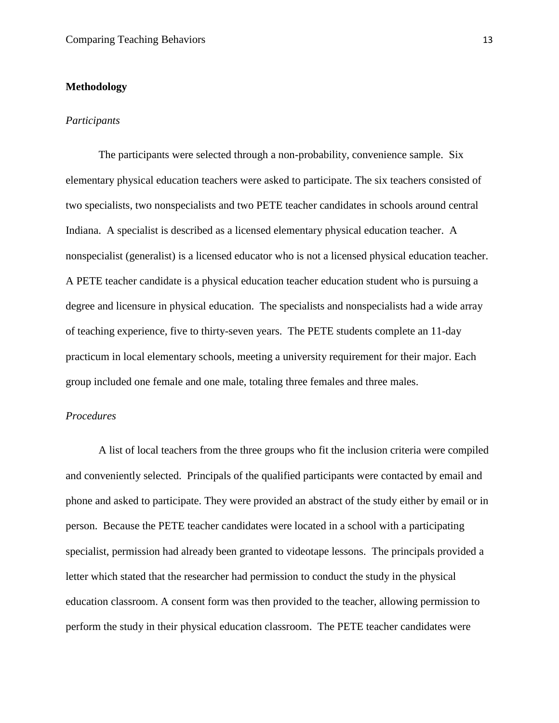### **Methodology**

# *Participants*

The participants were selected through a non-probability, convenience sample. Six elementary physical education teachers were asked to participate. The six teachers consisted of two specialists, two nonspecialists and two PETE teacher candidates in schools around central Indiana. A specialist is described as a licensed elementary physical education teacher. A nonspecialist (generalist) is a licensed educator who is not a licensed physical education teacher. A PETE teacher candidate is a physical education teacher education student who is pursuing a degree and licensure in physical education.The specialists and nonspecialists had a wide array of teaching experience, five to thirty-seven years. The PETE students complete an 11-day practicum in local elementary schools, meeting a university requirement for their major. Each group included one female and one male, totaling three females and three males.

# *Procedures*

A list of local teachers from the three groups who fit the inclusion criteria were compiled and conveniently selected. Principals of the qualified participants were contacted by email and phone and asked to participate. They were provided an abstract of the study either by email or in person. Because the PETE teacher candidates were located in a school with a participating specialist, permission had already been granted to videotape lessons. The principals provided a letter which stated that the researcher had permission to conduct the study in the physical education classroom. A consent form was then provided to the teacher, allowing permission to perform the study in their physical education classroom. The PETE teacher candidates were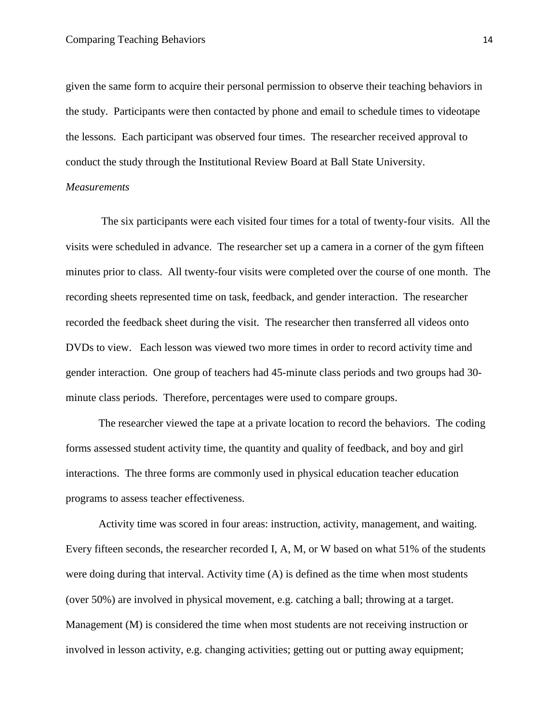given the same form to acquire their personal permission to observe their teaching behaviors in the study. Participants were then contacted by phone and email to schedule times to videotape the lessons. Each participant was observed four times. The researcher received approval to conduct the study through the Institutional Review Board at Ball State University.

# *Measurements*

The six participants were each visited four times for a total of twenty-four visits. All the visits were scheduled in advance. The researcher set up a camera in a corner of the gym fifteen minutes prior to class. All twenty-four visits were completed over the course of one month. The recording sheets represented time on task, feedback, and gender interaction. The researcher recorded the feedback sheet during the visit. The researcher then transferred all videos onto DVDs to view. Each lesson was viewed two more times in order to record activity time and gender interaction. One group of teachers had 45-minute class periods and two groups had 30 minute class periods. Therefore, percentages were used to compare groups.

The researcher viewed the tape at a private location to record the behaviors. The coding forms assessed student activity time, the quantity and quality of feedback, and boy and girl interactions. The three forms are commonly used in physical education teacher education programs to assess teacher effectiveness.

Activity time was scored in four areas: instruction, activity, management, and waiting. Every fifteen seconds, the researcher recorded I, A, M, or W based on what 51% of the students were doing during that interval. Activity time (A) is defined as the time when most students (over 50%) are involved in physical movement, e.g. catching a ball; throwing at a target. Management (M) is considered the time when most students are not receiving instruction or involved in lesson activity, e.g. changing activities; getting out or putting away equipment;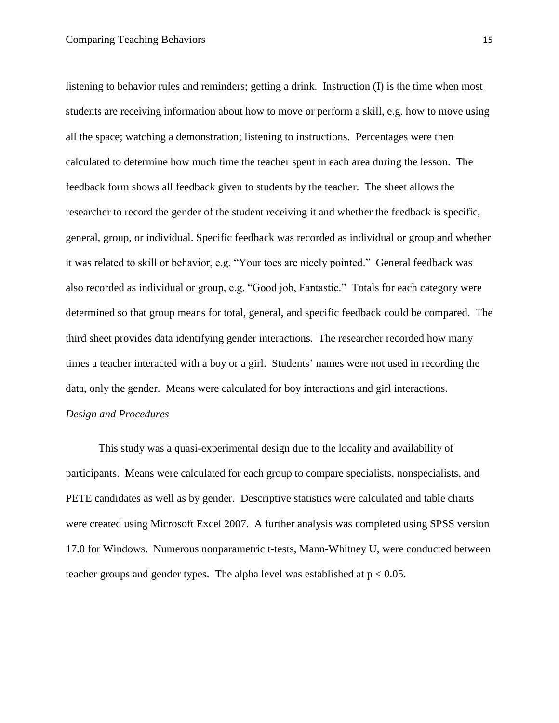listening to behavior rules and reminders; getting a drink. Instruction (I) is the time when most students are receiving information about how to move or perform a skill, e.g. how to move using all the space; watching a demonstration; listening to instructions. Percentages were then calculated to determine how much time the teacher spent in each area during the lesson. The feedback form shows all feedback given to students by the teacher. The sheet allows the researcher to record the gender of the student receiving it and whether the feedback is specific, general, group, or individual. Specific feedback was recorded as individual or group and whether it was related to skill or behavior, e.g. "Your toes are nicely pointed." General feedback was also recorded as individual or group, e.g. "Good job, Fantastic." Totals for each category were determined so that group means for total, general, and specific feedback could be compared. The third sheet provides data identifying gender interactions. The researcher recorded how many times a teacher interacted with a boy or a girl. Students' names were not used in recording the data, only the gender. Means were calculated for boy interactions and girl interactions. *Design and Procedures*

This study was a quasi-experimental design due to the locality and availability of participants. Means were calculated for each group to compare specialists, nonspecialists, and PETE candidates as well as by gender. Descriptive statistics were calculated and table charts were created using Microsoft Excel 2007. A further analysis was completed using SPSS version 17.0 for Windows. Numerous nonparametric t-tests, Mann-Whitney U, were conducted between teacher groups and gender types. The alpha level was established at  $p < 0.05$ .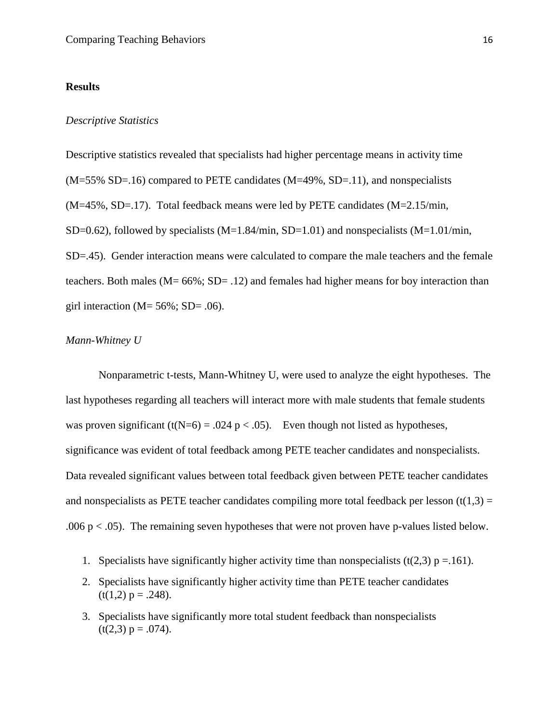#### **Results**

#### *Descriptive Statistics*

Descriptive statistics revealed that specialists had higher percentage means in activity time (M=55% SD=.16) compared to PETE candidates (M=49%, SD=.11), and nonspecialists (M=45%, SD=.17). Total feedback means were led by PETE candidates (M=2.15/min, SD=0.62), followed by specialists  $(M=1.84/min, SD=1.01)$  and nonspecialists  $(M=1.01/min,$ SD=.45). Gender interaction means were calculated to compare the male teachers and the female teachers. Both males (M= 66%; SD= .12) and females had higher means for boy interaction than girl interaction ( $M = 56\%$ ; SD= .06).

#### *Mann-Whitney U*

Nonparametric t-tests, Mann-Whitney U, were used to analyze the eight hypotheses. The last hypotheses regarding all teachers will interact more with male students that female students was proven significant (t(N=6) = .024 p < .05). Even though not listed as hypotheses, significance was evident of total feedback among PETE teacher candidates and nonspecialists. Data revealed significant values between total feedback given between PETE teacher candidates and nonspecialists as PETE teacher candidates compiling more total feedback per lesson  $(t(1,3)$  = .006  $p < .05$ ). The remaining seven hypotheses that were not proven have p-values listed below.

- 1. Specialists have significantly higher activity time than nonspecialists (t(2,3)  $p = .161$ ).
- 2. Specialists have significantly higher activity time than PETE teacher candidates  $(t(1,2) p = .248)$ .
- 3. Specialists have significantly more total student feedback than nonspecialists  $(t(2,3) p = .074)$ .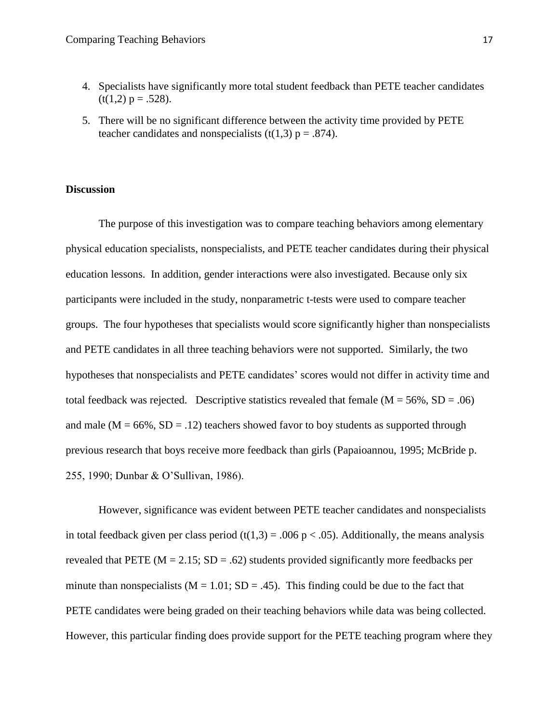- 4. Specialists have significantly more total student feedback than PETE teacher candidates  $(t(1,2) p = .528)$ .
- 5. There will be no significant difference between the activity time provided by PETE teacher candidates and nonspecialists (t(1,3)  $p = .874$ ).

#### **Discussion**

The purpose of this investigation was to compare teaching behaviors among elementary physical education specialists, nonspecialists, and PETE teacher candidates during their physical education lessons. In addition, gender interactions were also investigated. Because only six participants were included in the study, nonparametric t-tests were used to compare teacher groups. The four hypotheses that specialists would score significantly higher than nonspecialists and PETE candidates in all three teaching behaviors were not supported. Similarly, the two hypotheses that nonspecialists and PETE candidates' scores would not differ in activity time and total feedback was rejected. Descriptive statistics revealed that female  $(M = 56\%, SD = .06)$ and male ( $M = 66\%$ ,  $SD = .12$ ) teachers showed favor to boy students as supported through previous research that boys receive more feedback than girls (Papaioannou, 1995; McBride p. 255, 1990; Dunbar & O'Sullivan, 1986).

However, significance was evident between PETE teacher candidates and nonspecialists in total feedback given per class period (t(1,3) = .006 p < .05). Additionally, the means analysis revealed that PETE ( $M = 2.15$ ; SD = .62) students provided significantly more feedbacks per minute than nonspecialists ( $M = 1.01$ ;  $SD = .45$ ). This finding could be due to the fact that PETE candidates were being graded on their teaching behaviors while data was being collected. However, this particular finding does provide support for the PETE teaching program where they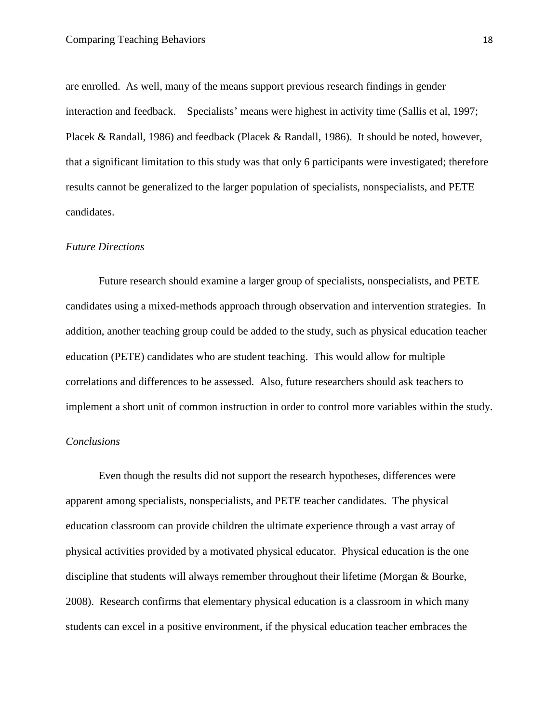are enrolled. As well, many of the means support previous research findings in gender interaction and feedback. Specialists' means were highest in activity time (Sallis et al, 1997; Placek & Randall, 1986) and feedback (Placek & Randall, 1986). It should be noted, however, that a significant limitation to this study was that only 6 participants were investigated; therefore results cannot be generalized to the larger population of specialists, nonspecialists, and PETE candidates.

### *Future Directions*

Future research should examine a larger group of specialists, nonspecialists, and PETE candidates using a mixed-methods approach through observation and intervention strategies. In addition, another teaching group could be added to the study, such as physical education teacher education (PETE) candidates who are student teaching. This would allow for multiple correlations and differences to be assessed. Also, future researchers should ask teachers to implement a short unit of common instruction in order to control more variables within the study.

# *Conclusions*

Even though the results did not support the research hypotheses, differences were apparent among specialists, nonspecialists, and PETE teacher candidates. The physical education classroom can provide children the ultimate experience through a vast array of physical activities provided by a motivated physical educator. Physical education is the one discipline that students will always remember throughout their lifetime (Morgan & Bourke, 2008). Research confirms that elementary physical education is a classroom in which many students can excel in a positive environment, if the physical education teacher embraces the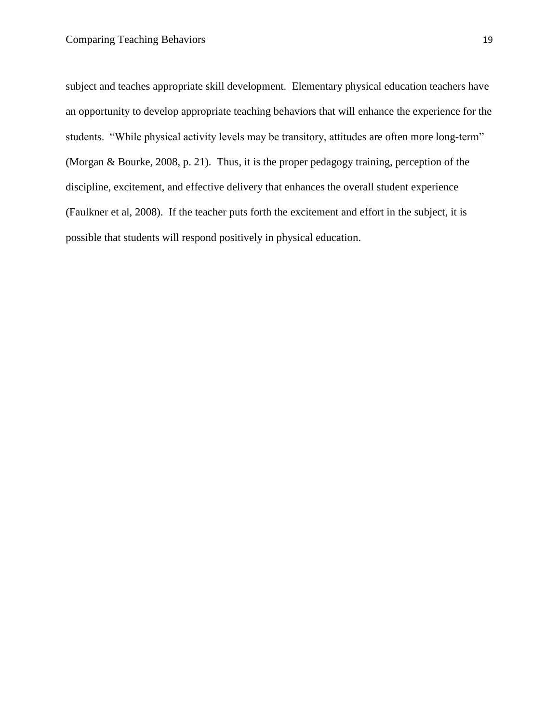subject and teaches appropriate skill development. Elementary physical education teachers have an opportunity to develop appropriate teaching behaviors that will enhance the experience for the students. "While physical activity levels may be transitory, attitudes are often more long-term" (Morgan & Bourke, 2008, p. 21). Thus, it is the proper pedagogy training, perception of the discipline, excitement, and effective delivery that enhances the overall student experience (Faulkner et al, 2008). If the teacher puts forth the excitement and effort in the subject, it is possible that students will respond positively in physical education.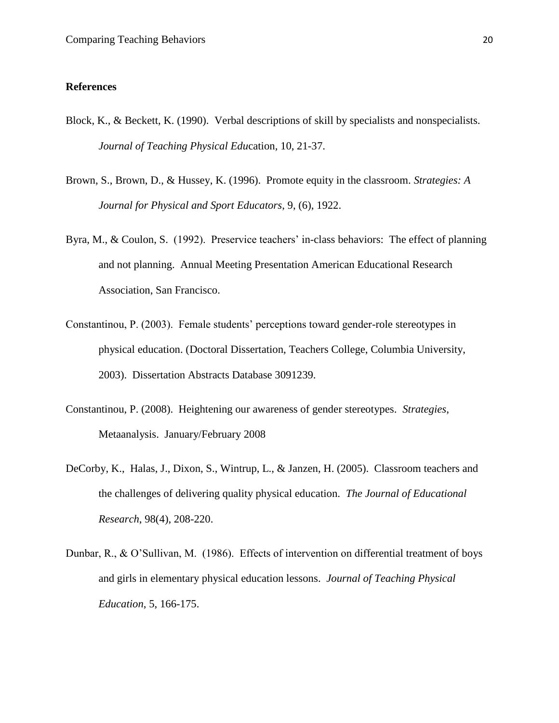### **References**

- Block, K., & Beckett, K. (1990). Verbal descriptions of skill by specialists and nonspecialists. *Journal of Teaching Physical Edu*cation*,* 10, 21-37.
- Brown, S., Brown, D., & Hussey, K. (1996). Promote equity in the classroom. *Strategies: A Journal for Physical and Sport Educators*, 9, (6), 1922.
- Byra, M., & Coulon, S. (1992). Preservice teachers' in-class behaviors: The effect of planning and not planning. Annual Meeting Presentation American Educational Research Association, San Francisco.
- Constantinou, P. (2003). Female students' perceptions toward gender-role stereotypes in physical education. (Doctoral Dissertation, Teachers College, Columbia University, 2003). Dissertation Abstracts Database 3091239.
- Constantinou, P. (2008). Heightening our awareness of gender stereotypes. *Strategies*, Metaanalysis. January/February 2008
- DeCorby, K., Halas, J., Dixon, S., Wintrup, L., & Janzen, H. (2005). Classroom teachers and the challenges of delivering quality physical education. *The Journal of Educational Research*, 98(4), 208-220.
- Dunbar, R., & O'Sullivan, M. (1986). Effects of intervention on differential treatment of boys and girls in elementary physical education lessons. *Journal of Teaching Physical Education*, 5, 166-175.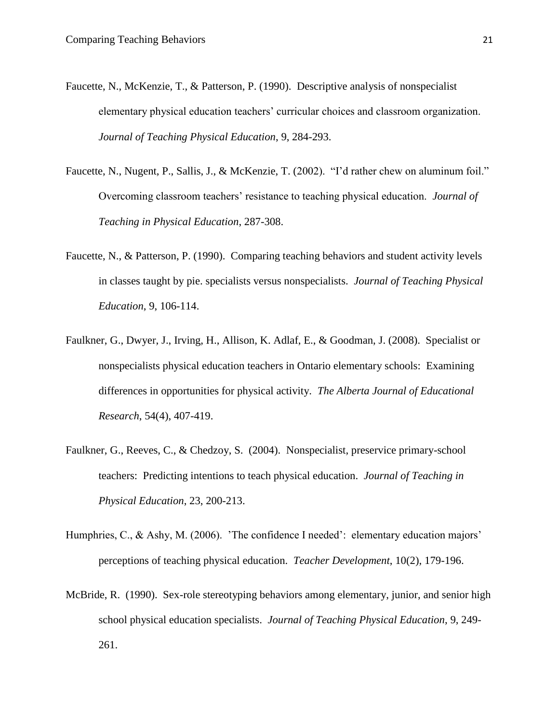- Faucette, N., McKenzie, T., & Patterson, P. (1990). Descriptive analysis of nonspecialist elementary physical education teachers' curricular choices and classroom organization. *Journal of Teaching Physical Education*, 9, 284-293.
- Faucette, N., Nugent, P., Sallis, J., & McKenzie, T. (2002). "I'd rather chew on aluminum foil." Overcoming classroom teachers' resistance to teaching physical education. *Journal of Teaching in Physical Education*, 287-308.
- Faucette, N., & Patterson, P. (1990). Comparing teaching behaviors and student activity levels in classes taught by pie. specialists versus nonspecialists. *Journal of Teaching Physical Education*, 9, 106-114.
- Faulkner, G., Dwyer, J., Irving, H., Allison, K. Adlaf, E., & Goodman, J. (2008). Specialist or nonspecialists physical education teachers in Ontario elementary schools: Examining differences in opportunities for physical activity. *The Alberta Journal of Educational Research*, 54(4), 407-419.
- Faulkner, G., Reeves, C., & Chedzoy, S. (2004). Nonspecialist, preservice primary-school teachers: Predicting intentions to teach physical education. *Journal of Teaching in Physical Education*, 23, 200-213.
- Humphries, C., & Ashy, M. (2006). 'The confidence I needed': elementary education majors' perceptions of teaching physical education. *Teacher Development*, 10(2), 179-196.
- McBride, R. (1990). Sex-role stereotyping behaviors among elementary, junior, and senior high school physical education specialists. *Journal of Teaching Physical Education*, 9, 249- 261.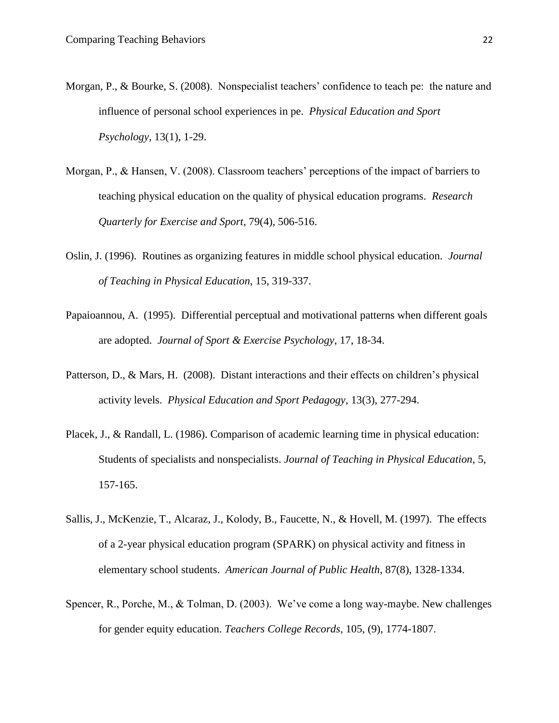- Morgan, P., & Bourke, S. (2008). Nonspecialist teachers' confidence to teach pe: the nature and influence of personal school experiences in pe. *Physical Education and Sport Psychology*, 13(1), 1-29.
- Morgan, P., & Hansen, V. (2008). Classroom teachers' perceptions of the impact of barriers to teaching physical education on the quality of physical education programs. *Research Quarterly for Exercise and Sport*, 79(4), 506-516.
- Oslin, J. (1996). Routines as organizing features in middle school physical education. *Journal of Teaching in Physical Education*, 15, 319-337.
- Papaioannou, A. (1995). Differential perceptual and motivational patterns when different goals are adopted. *Journal of Sport & Exercise Psychology*, 17, 18-34.
- Patterson, D., & Mars, H. (2008). Distant interactions and their effects on children's physical activity levels. *Physical Education and Sport Pedagogy*, 13(3), 277-294.
- Placek, J., & Randall, L. (1986). Comparison of academic learning time in physical education: Students of specialists and nonspecialists. *Journal of Teaching in Physical Education*, 5, 157-165.
- Sallis, J., McKenzie, T., Alcaraz, J., Kolody, B., Faucette, N., & Hovell, M. (1997). The effects of a 2-year physical education program (SPARK) on physical activity and fitness in elementary school students. *American Journal of Public Health*, 87(8), 1328-1334.
- Spencer, R., Porche, M., & Tolman, D. (2003). We've come a long way-maybe. New challenges for gender equity education. *Teachers College Records*, 105, (9), 1774-1807.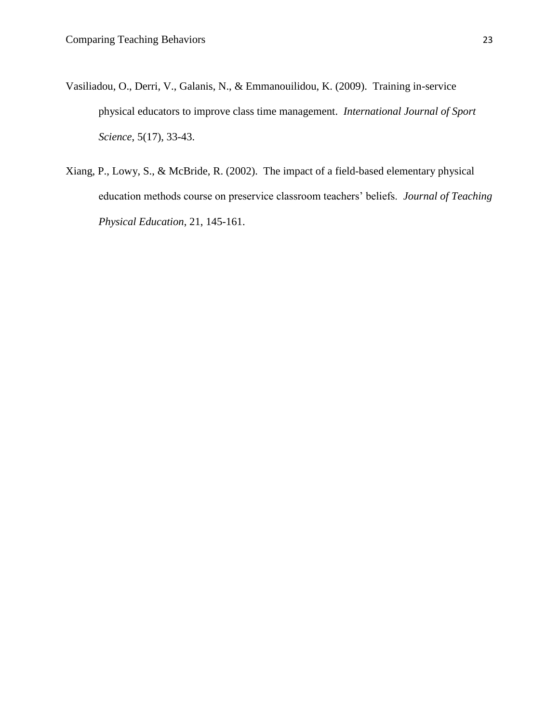- Vasiliadou, O., Derri, V., Galanis, N., & Emmanouilidou, K. (2009). Training in-service physical educators to improve class time management. *International Journal of Sport Science*, 5(17), 33-43.
- Xiang, P., Lowy, S., & McBride, R. (2002). The impact of a field-based elementary physical education methods course on preservice classroom teachers' beliefs. *Journal of Teaching Physical Education*, 21, 145-161.